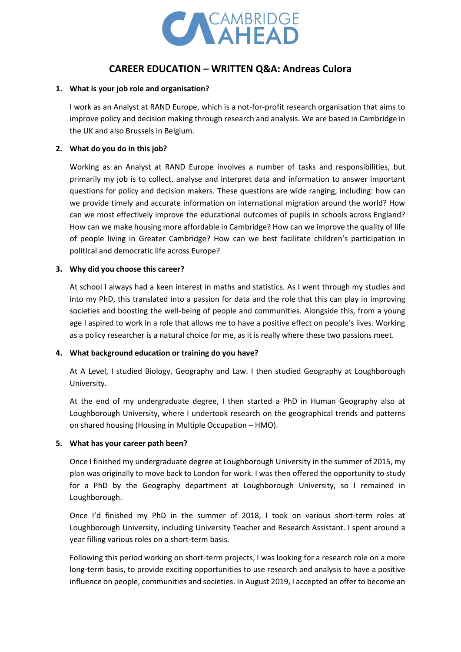

# **CAREER EDUCATION – WRITTEN Q&A: Andreas Culora**

## **1. What is your job role and organisation?**

I work as an Analyst at RAND Europe, which is a not-for-profit research organisation that aims to improve policy and decision making through research and analysis. We are based in Cambridge in the UK and also Brussels in Belgium.

## **2. What do you do in this job?**

Working as an Analyst at RAND Europe involves a number of tasks and responsibilities, but primarily my job is to collect, analyse and interpret data and information to answer important questions for policy and decision makers. These questions are wide ranging, including: how can we provide timely and accurate information on international migration around the world? How can we most effectively improve the educational outcomes of pupils in schools across England? How can we make housing more affordable in Cambridge? How can we improve the quality of life of people living in Greater Cambridge? How can we best facilitate children's participation in political and democratic life across Europe?

## **3. Why did you choose this career?**

At school I always had a keen interest in maths and statistics. As I went through my studies and into my PhD, this translated into a passion for data and the role that this can play in improving societies and boosting the well-being of people and communities. Alongside this, from a young age I aspired to work in a role that allows me to have a positive effect on people's lives. Working as a policy researcher is a natural choice for me, as it is really where these two passions meet.

#### **4. What background education or training do you have?**

At A Level, I studied Biology, Geography and Law. I then studied Geography at Loughborough University.

At the end of my undergraduate degree, I then started a PhD in Human Geography also at Loughborough University, where I undertook research on the geographical trends and patterns on shared housing (Housing in Multiple Occupation – HMO).

#### **5. What has your career path been?**

Once I finished my undergraduate degree at Loughborough University in the summer of 2015, my plan was originally to move back to London for work. I was then offered the opportunity to study for a PhD by the Geography department at Loughborough University, so I remained in Loughborough.

Once I'd finished my PhD in the summer of 2018, I took on various short-term roles at Loughborough University, including University Teacher and Research Assistant. I spent around a year filling various roles on a short-term basis.

Following this period working on short-term projects, I was looking for a research role on a more long-term basis, to provide exciting opportunities to use research and analysis to have a positive influence on people, communities and societies. In August 2019, I accepted an offer to become an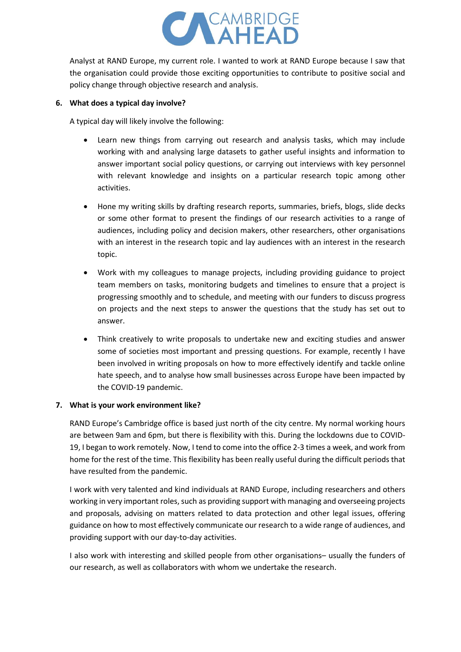

Analyst at RAND Europe, my current role. I wanted to work at RAND Europe because I saw that the organisation could provide those exciting opportunities to contribute to positive social and policy change through objective research and analysis.

#### **6. What does a typical day involve?**

A typical day will likely involve the following:

- Learn new things from carrying out research and analysis tasks, which may include working with and analysing large datasets to gather useful insights and information to answer important social policy questions, or carrying out interviews with key personnel with relevant knowledge and insights on a particular research topic among other activities.
- Hone my writing skills by drafting research reports, summaries, briefs, blogs, slide decks or some other format to present the findings of our research activities to a range of audiences, including policy and decision makers, other researchers, other organisations with an interest in the research topic and lay audiences with an interest in the research topic.
- Work with my colleagues to manage projects, including providing guidance to project team members on tasks, monitoring budgets and timelines to ensure that a project is progressing smoothly and to schedule, and meeting with our funders to discuss progress on projects and the next steps to answer the questions that the study has set out to answer.
- Think creatively to write proposals to undertake new and exciting studies and answer some of societies most important and pressing questions. For example, recently I have been involved in writing proposals on how to more effectively identify and tackle online hate speech, and to analyse how small businesses across Europe have been impacted by the COVID-19 pandemic.

#### **7. What is your work environment like?**

RAND Europe's Cambridge office is based just north of the city centre. My normal working hours are between 9am and 6pm, but there is flexibility with this. During the lockdowns due to COVID-19, I began to work remotely. Now, I tend to come into the office 2-3 times a week, and work from home for the rest of the time. This flexibility has been really useful during the difficult periods that have resulted from the pandemic.

I work with very talented and kind individuals at RAND Europe, including researchers and others working in very important roles, such as providing support with managing and overseeing projects and proposals, advising on matters related to data protection and other legal issues, offering guidance on how to most effectively communicate our research to a wide range of audiences, and providing support with our day-to-day activities.

I also work with interesting and skilled people from other organisations– usually the funders of our research, as well as collaborators with whom we undertake the research.